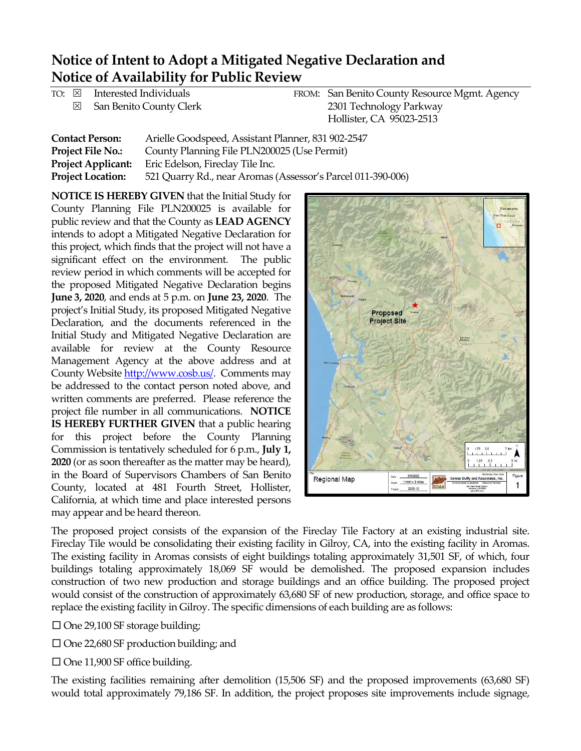## **Notice of Intent to Adopt a Mitigated Negative Declaration and Notice of Availability for Public Review**

| FROM: San Benito County Resource Mgmt. Agency |
|-----------------------------------------------|
| 2301 Technology Parkway                       |
|                                               |
|                                               |

| <b>Contact Person:</b>    | Arielle Goodspeed, Assistant Planner, 831 902-2547          |
|---------------------------|-------------------------------------------------------------|
| <b>Project File No.:</b>  | County Planning File PLN200025 (Use Permit)                 |
| <b>Project Applicant:</b> | Eric Edelson, Fireclay Tile Inc.                            |
| <b>Project Location:</b>  | 521 Quarry Rd., near Aromas (Assessor's Parcel 011-390-006) |

**NOTICE IS HEREBY GIVEN** that the Initial Study for County Planning File PLN200025 is available for public review and that the County as **LEAD AGENCY** intends to adopt a Mitigated Negative Declaration for this project, which finds that the project will not have a significant effect on the environment. The public review period in which comments will be accepted for the proposed Mitigated Negative Declaration begins **June 3, 2020**, and ends at 5 p.m. on **June 23, 2020**. The project's Initial Study, its proposed Mitigated Negative Declaration, and the documents referenced in the Initial Study and Mitigated Negative Declaration are available for review at the County Resource Management Agency at the above address and at County Website [http://www.cosb.us/.](http://www.cosb.us/) Comments may be addressed to the contact person noted above, and written comments are preferred. Please reference the project file number in all communications. **NOTICE IS HEREBY FURTHER GIVEN** that a public hearing for this project before the County Planning Commission is tentatively scheduled for 6 p.m., **July 1, 2020** (or as soon thereafter as the matter may be heard), in the Board of Supervisors Chambers of San Benito County, located at 481 Fourth Street, Hollister, California, at which time and place interested persons may appear and be heard thereon.



The proposed project consists of the expansion of the Fireclay Tile Factory at an existing industrial site. Fireclay Tile would be consolidating their existing facility in Gilroy, CA, into the existing facility in Aromas. The existing facility in Aromas consists of eight buildings totaling approximately 31,501 SF, of which, four buildings totaling approximately 18,069 SF would be demolished. The proposed expansion includes construction of two new production and storage buildings and an office building. The proposed project would consist of the construction of approximately 63,680 SF of new production, storage, and office space to replace the existing facility in Gilroy. The specific dimensions of each building are as follows:

 $\Box$  One 29,100 SF storage building;

 $\square$  One 22,680 SF production building; and

 $\Box$  One 11,900 SF office building.

The existing facilities remaining after demolition (15,506 SF) and the proposed improvements (63,680 SF) would total approximately 79,186 SF. In addition, the project proposes site improvements include signage,